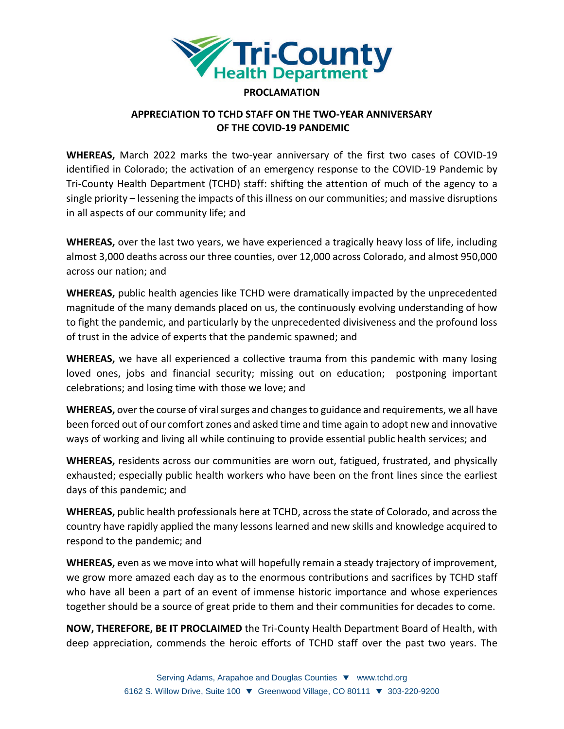

## **PROCLAMATION**

## **APPRECIATION TO TCHD STAFF ON THE TWO-YEAR ANNIVERSARY OF THE COVID-19 PANDEMIC**

**WHEREAS,** March 2022 marks the two-year anniversary of the first two cases of COVID-19 identified in Colorado; the activation of an emergency response to the COVID-19 Pandemic by Tri-County Health Department (TCHD) staff: shifting the attention of much of the agency to a single priority – lessening the impacts of this illness on our communities; and massive disruptions in all aspects of our community life; and

**WHEREAS,** over the last two years, we have experienced a tragically heavy loss of life, including almost 3,000 deaths across our three counties, over 12,000 across Colorado, and almost 950,000 across our nation; and

**WHEREAS,** public health agencies like TCHD were dramatically impacted by the unprecedented magnitude of the many demands placed on us, the continuously evolving understanding of how to fight the pandemic, and particularly by the unprecedented divisiveness and the profound loss of trust in the advice of experts that the pandemic spawned; and

**WHEREAS,** we have all experienced a collective trauma from this pandemic with many losing loved ones, jobs and financial security; missing out on education; postponing important celebrations; and losing time with those we love; and

**WHEREAS,** over the course of viral surges and changes to guidance and requirements, we all have been forced out of our comfort zones and asked time and time again to adopt new and innovative ways of working and living all while continuing to provide essential public health services; and

**WHEREAS,** residents across our communities are worn out, fatigued, frustrated, and physically exhausted; especially public health workers who have been on the front lines since the earliest days of this pandemic; and

**WHEREAS,** public health professionals here at TCHD, across the state of Colorado, and across the country have rapidly applied the many lessons learned and new skills and knowledge acquired to respond to the pandemic; and

**WHEREAS,** even as we move into what will hopefully remain a steady trajectory of improvement, we grow more amazed each day as to the enormous contributions and sacrifices by TCHD staff who have all been a part of an event of immense historic importance and whose experiences together should be a source of great pride to them and their communities for decades to come.

**NOW, THEREFORE, BE IT PROCLAIMED** the Tri-County Health Department Board of Health, with deep appreciation, commends the heroic efforts of TCHD staff over the past two years. The